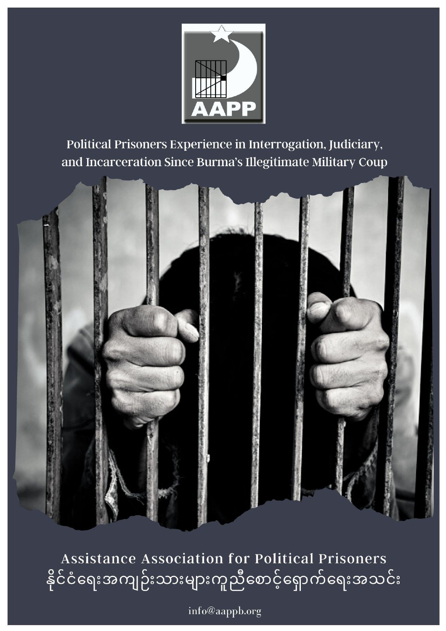

Political Prisoners Experience in Interrogation, Judiciary, and Incarceration Since Burma's Illegitimate Military Coup



Assistance Association for Political Prisoners နိုင်ငံရေးအကျဉ်းသားများကူညီစောင့်ရှောက်ရေးအသင်း

info@aappb.org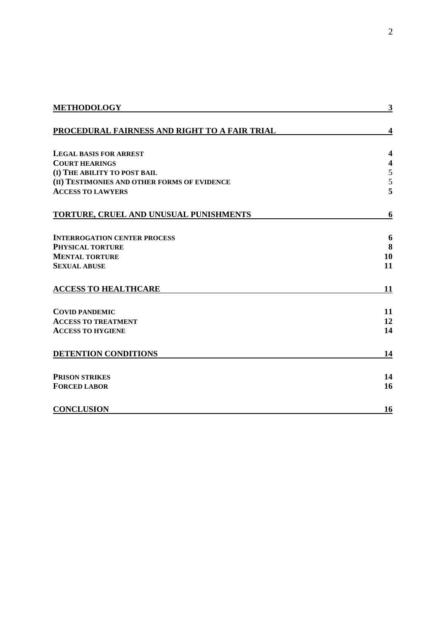| <b>METHODOLOGY</b>                            | 3                       |
|-----------------------------------------------|-------------------------|
| PROCEDURAL FAIRNESS AND RIGHT TO A FAIR TRIAL | 4                       |
| <b>LEGAL BASIS FOR ARREST</b>                 | $\overline{\mathbf{4}}$ |
| <b>COURT HEARINGS</b>                         | $\overline{\mathbf{4}}$ |
| (I) THE ABILITY TO POST BAIL                  | $\mathfrak s$           |
| (II) TESTIMONIES AND OTHER FORMS OF EVIDENCE  | 5                       |
| <b>ACCESS TO LAWYERS</b>                      | 5                       |
| TORTURE, CRUEL AND UNUSUAL PUNISHMENTS        | 6                       |
| <b>INTERROGATION CENTER PROCESS</b>           | 6                       |
| <b>PHYSICAL TORTURE</b>                       | 8                       |
| <b>MENTAL TORTURE</b>                         | 10                      |
| <b>SEXUAL ABUSE</b>                           | 11                      |
| <b>ACCESS TO HEALTHCARE</b>                   | 11                      |
| <b>COVID PANDEMIC</b>                         | 11                      |
| <b>ACCESS TO TREATMENT</b>                    | 12                      |
| <b>ACCESS TO HYGIENE</b>                      | 14                      |
| <b>DETENTION CONDITIONS</b>                   | 14                      |
| <b>PRISON STRIKES</b>                         | 14                      |
| <b>FORCED LABOR</b>                           | 16                      |
| <b>CONCLUSION</b>                             | 16                      |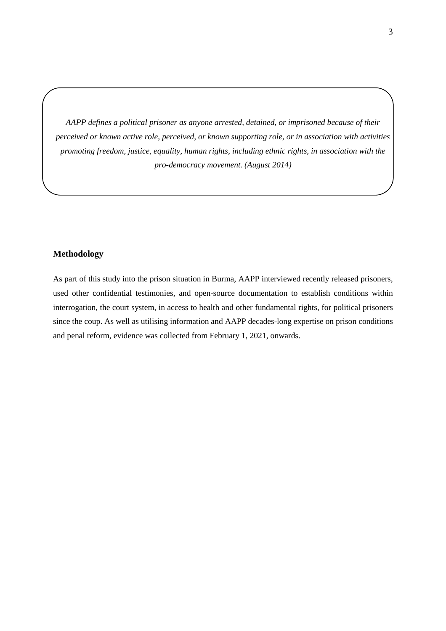*AAPP defines a political prisoner as anyone arrested, detained, or imprisoned because of their perceived or known active role, perceived, or known supporting role, or in association with activities promoting freedom, justice, equality, human rights, including ethnic rights, in association with the pro-democracy movement. (August 2014)*

## <span id="page-2-0"></span>**Methodology**

As part of this study into the prison situation in Burma, AAPP interviewed recently released prisoners, used other confidential testimonies, and open-source documentation to establish conditions within interrogation, the court system, in access to health and other fundamental rights, for political prisoners since the coup. As well as utilising information and AAPP decades-long expertise on prison conditions and penal reform, evidence was collected from February 1, 2021, onwards.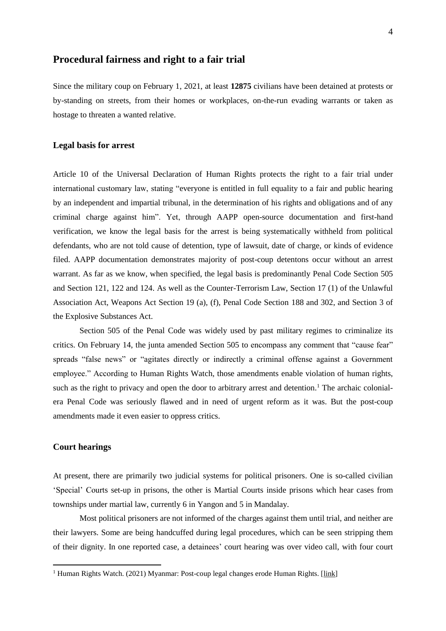# <span id="page-3-0"></span>**Procedural fairness and right to a fair trial**

Since the military coup on February 1, 2021, at least **12875** civilians have been detained at protests or by-standing on streets, from their homes or workplaces, on-the-run evading warrants or taken as hostage to threaten a wanted relative.

## <span id="page-3-1"></span>**Legal basis for arrest**

Article 10 of the Universal Declaration of Human Rights protects the right to a fair trial under international customary law, stating "everyone is entitled in full equality to a fair and public hearing by an independent and impartial tribunal, in the determination of his rights and obligations and of any criminal charge against him". Yet, through AAPP open-source documentation and first-hand verification, we know the legal basis for the arrest is being systematically withheld from political defendants, who are not told cause of detention, type of lawsuit, date of charge, or kinds of evidence filed. AAPP documentation demonstrates majority of post-coup detentons occur without an arrest warrant. As far as we know, when specified, the legal basis is predominantly Penal Code Section 505 and Section 121, 122 and 124. As well as the Counter-Terrorism Law, Section 17 (1) of the Unlawful Association Act, Weapons Act Section 19 (a), (f), Penal Code Section 188 and 302, and Section 3 of the Explosive Substances Act.

Section 505 of the Penal Code was widely used by past military regimes to criminalize its critics. On February 14, the junta amended Section 505 to encompass any comment that "cause fear" spreads "false news" or "agitates directly or indirectly a criminal offense against a Government employee." According to Human Rights Watch, those amendments enable violation of human rights, such as the right to privacy and open the door to arbitrary arrest and detention.<sup>1</sup> The archaic colonialera Penal Code was seriously flawed and in need of urgent reform as it was. But the post-coup amendments made it even easier to oppress critics.

## <span id="page-3-2"></span>**Court hearings**

 $\overline{a}$ 

At present, there are primarily two judicial systems for political prisoners. One is so-called civilian 'Special' Courts set-up in prisons, the other is Martial Courts inside prisons which hear cases from townships under martial law, currently 6 in Yangon and 5 in Mandalay.

Most political prisoners are not informed of the charges against them until trial, and neither are their lawyers. Some are being handcuffed during legal procedures, which can be seen stripping them of their dignity. In one reported case, a detainees' court hearing was over video call, with four court

<sup>&</sup>lt;sup>1</sup> Human Rights Watch. (2021) Myanmar: Post-coup legal changes erode Human Rights. [\[link\]](https://www.hrw.org/news/2021/03/02/myanmar-post-coup-legal-changes-erode-human-rights)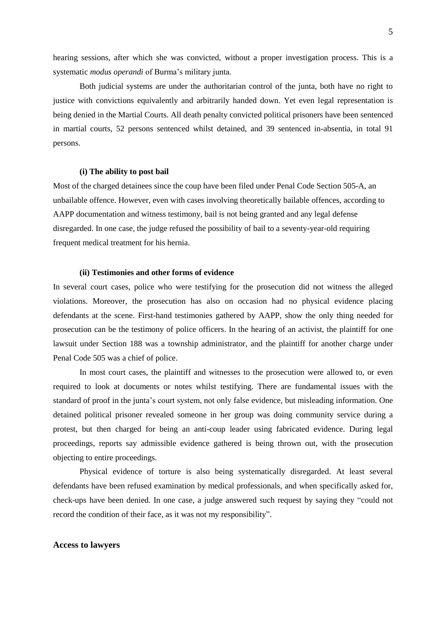hearing sessions, after which she was convicted, without a proper investigation process. This is a systematic *modus operandi* of Burma's military junta.

Both judicial systems are under the authoritarian control of the junta, both have no right to justice with convictions equivalently and arbitrarily handed down. Yet even legal representation is being denied in the Martial Courts. All death penalty convicted political prisoners have been sentenced in martial courts, 52 persons sentenced whilst detained, and 39 sentenced in-absentia, in total 91 persons.

#### <span id="page-4-0"></span>**(i) The ability to post bail**

Most of the charged detainees since the coup have been filed under Penal Code Section 505-A, an unbailable offence. However, even with cases involving theoretically bailable offences, according to AAPP documentation and witness testimony, bail is not being granted and any legal defense disregarded. In one case, the judge refused the possibility of bail to a seventy-year-old requiring frequent medical treatment for his hernia.

#### **(ii) Testimonies and other forms of evidence**

<span id="page-4-1"></span>In several court cases, police who were testifying for the prosecution did not witness the alleged violations. Moreover, the prosecution has also on occasion had no physical evidence placing defendants at the scene. First-hand testimonies gathered by AAPP, show the only thing needed for prosecution can be the testimony of police officers. In the hearing of an activist, the plaintiff for one lawsuit under Section 188 was a township administrator, and the plaintiff for another charge under Penal Code 505 was a chief of police.

In most court cases, the plaintiff and witnesses to the prosecution were allowed to, or even required to look at documents or notes whilst testifying. There are fundamental issues with the standard of proof in the junta's court system, not only false evidence, but misleading information. One detained political prisoner revealed someone in her group was doing community service during a protest, but then charged for being an anti-coup leader using fabricated evidence. During legal proceedings, reports say admissible evidence gathered is being thrown out, with the prosecution objecting to entire proceedings.

Physical evidence of torture is also being systematically disregarded. At least several defendants have been refused examination by medical professionals, and when specifically asked for, check-ups have been denied. In one case, a judge answered such request by saying they "could not record the condition of their face, as it was not my responsibility".

## <span id="page-4-2"></span>**Access to lawyers**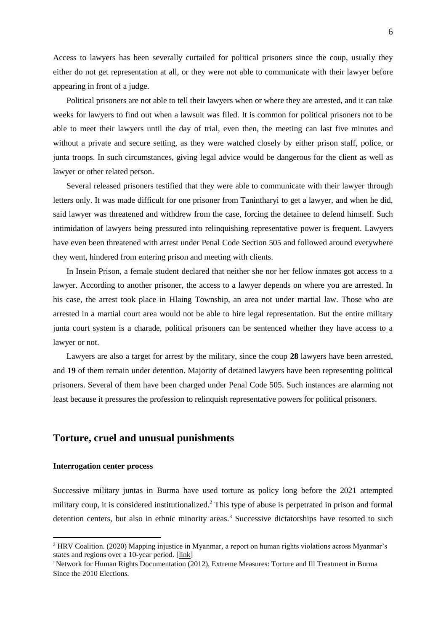Access to lawyers has been severally curtailed for political prisoners since the coup, usually they either do not get representation at all, or they were not able to communicate with their lawyer before appearing in front of a judge.

Political prisoners are not able to tell their lawyers when or where they are arrested, and it can take weeks for lawyers to find out when a lawsuit was filed. It is common for political prisoners not to be able to meet their lawyers until the day of trial, even then, the meeting can last five minutes and without a private and secure setting, as they were watched closely by either prison staff, police, or junta troops. In such circumstances, giving legal advice would be dangerous for the client as well as lawyer or other related person.

Several released prisoners testified that they were able to communicate with their lawyer through letters only. It was made difficult for one prisoner from Tanintharyi to get a lawyer, and when he did, said lawyer was threatened and withdrew from the case, forcing the detainee to defend himself. Such intimidation of lawyers being pressured into relinquishing representative power is frequent. Lawyers have even been threatened with arrest under Penal Code Section 505 and followed around everywhere they went, hindered from entering prison and meeting with clients.

In Insein Prison, a female student declared that neither she nor her fellow inmates got access to a lawyer. According to another prisoner, the access to a lawyer depends on where you are arrested. In his case, the arrest took place in Hlaing Township, an area not under martial law. Those who are arrested in a martial court area would not be able to hire legal representation. But the entire military junta court system is a charade, political prisoners can be sentenced whether they have access to a lawyer or not.

Lawyers are also a target for arrest by the military, since the coup **28** lawyers have been arrested, and **19** of them remain under detention. Majority of detained lawyers have been representing political prisoners. Several of them have been charged under Penal Code 505. Such instances are alarming not least because it pressures the profession to relinquish representative powers for political prisoners.

# <span id="page-5-0"></span>**Torture, cruel and unusual punishments**

#### <span id="page-5-1"></span>**Interrogation center process**

 $\overline{a}$ 

Successive military juntas in Burma have used torture as policy long before the 2021 attempted military coup, it is considered institutionalized.<sup>2</sup> This type of abuse is perpetrated in prison and formal detention centers, but also in ethnic minority areas.<sup>3</sup> Successive dictatorships have resorted to such

<sup>2</sup> HRV Coalition. (2020) Mapping injustice in Myanmar, a report on human rights violations across Myanmar's states and regions over a 10-year period. [\[link\]](https://aappb.org/wp-content/uploads/2020/09/Mapping-Injustice-english-print.pdf)

<sup>3</sup> Network for Human Rights Documentation (2012), Extreme Measures: Torture and Ill Treatment in Burma Since the 2010 Election*s.*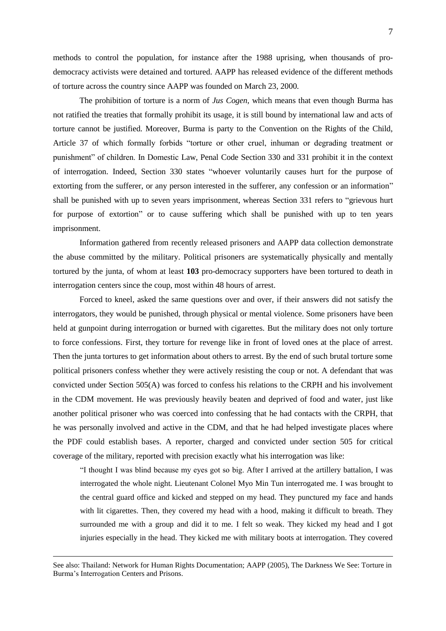methods to control the population, for instance after the 1988 uprising, when thousands of prodemocracy activists were detained and tortured. AAPP has released evidence of the different methods of torture across the country since AAPP was founded on March 23, 2000.

The prohibition of torture is a norm of *Jus Cogen*, which means that even though Burma has not ratified the treaties that formally prohibit its usage, it is still bound by international law and acts of torture cannot be justified. Moreover, Burma is party to the Convention on the Rights of the Child, Article 37 of which formally forbids "torture or other cruel, inhuman or degrading treatment or punishment" of children. In Domestic Law, Penal Code Section 330 and 331 prohibit it in the context of interrogation. Indeed, Section 330 states "whoever voluntarily causes hurt for the purpose of extorting from the sufferer, or any person interested in the sufferer, any confession or an information" shall be punished with up to seven years imprisonment, whereas Section 331 refers to "grievous hurt for purpose of extortion" or to cause suffering which shall be punished with up to ten years imprisonment.

Information gathered from recently released prisoners and AAPP data collection demonstrate the abuse committed by the military. Political prisoners are systematically physically and mentally tortured by the junta, of whom at least **103** pro-democracy supporters have been tortured to death in interrogation centers since the coup, most within 48 hours of arrest.

Forced to kneel, asked the same questions over and over, if their answers did not satisfy the interrogators, they would be punished, through physical or mental violence. Some prisoners have been held at gunpoint during interrogation or burned with cigarettes. But the military does not only torture to force confessions. First, they torture for revenge like in front of loved ones at the place of arrest. Then the junta tortures to get information about others to arrest. By the end of such brutal torture some political prisoners confess whether they were actively resisting the coup or not. A defendant that was convicted under Section 505(A) was forced to confess his relations to the CRPH and his involvement in the CDM movement. He was previously heavily beaten and deprived of food and water, just like another political prisoner who was coerced into confessing that he had contacts with the CRPH, that he was personally involved and active in the CDM, and that he had helped investigate places where the PDF could establish bases. A reporter, charged and convicted under section 505 for critical coverage of the military, reported with precision exactly what his interrogation was like:

"I thought I was blind because my eyes got so big. After I arrived at the artillery battalion, I was interrogated the whole night. Lieutenant Colonel Myo Min Tun interrogated me. I was brought to the central guard office and kicked and stepped on my head. They punctured my face and hands with lit cigarettes. Then, they covered my head with a hood, making it difficult to breath. They surrounded me with a group and did it to me. I felt so weak. They kicked my head and I got injuries especially in the head. They kicked me with military boots at interrogation. They covered

<u>.</u>

See also: Thailand: Network for Human Rights Documentation; AAPP (2005), The Darkness We See: Torture in Burma's Interrogation Centers and Prisons.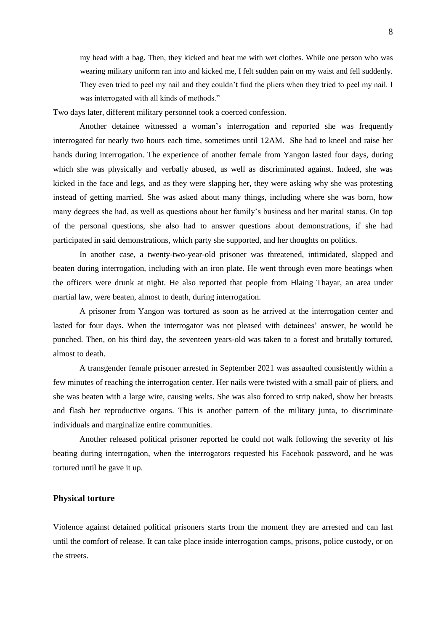my head with a bag. Then, they kicked and beat me with wet clothes. While one person who was wearing military uniform ran into and kicked me, I felt sudden pain on my waist and fell suddenly. They even tried to peel my nail and they couldn't find the pliers when they tried to peel my nail. I was interrogated with all kinds of methods."

Two days later, different military personnel took a coerced confession.

Another detainee witnessed a woman's interrogation and reported she was frequently interrogated for nearly two hours each time, sometimes until 12AM. She had to kneel and raise her hands during interrogation. The experience of another female from Yangon lasted four days, during which she was physically and verbally abused, as well as discriminated against. Indeed, she was kicked in the face and legs, and as they were slapping her, they were asking why she was protesting instead of getting married. She was asked about many things, including where she was born, how many degrees she had, as well as questions about her family's business and her marital status. On top of the personal questions, she also had to answer questions about demonstrations, if she had participated in said demonstrations, which party she supported, and her thoughts on politics.

In another case, a twenty-two-year-old prisoner was threatened, intimidated, slapped and beaten during interrogation, including with an iron plate. He went through even more beatings when the officers were drunk at night. He also reported that people from Hlaing Thayar, an area under martial law, were beaten, almost to death, during interrogation.

A prisoner from Yangon was tortured as soon as he arrived at the interrogation center and lasted for four days. When the interrogator was not pleased with detainees' answer, he would be punched. Then, on his third day, the seventeen years-old was taken to a forest and brutally tortured, almost to death.

A transgender female prisoner arrested in September 2021 was assaulted consistently within a few minutes of reaching the interrogation center. Her nails were twisted with a small pair of pliers, and she was beaten with a large wire, causing welts. She was also forced to strip naked, show her breasts and flash her reproductive organs. This is another pattern of the military junta, to discriminate individuals and marginalize entire communities.

Another released political prisoner reported he could not walk following the severity of his beating during interrogation, when the interrogators requested his Facebook password, and he was tortured until he gave it up.

## <span id="page-7-0"></span>**Physical torture**

Violence against detained political prisoners starts from the moment they are arrested and can last until the comfort of release. It can take place inside interrogation camps, prisons, police custody, or on the streets.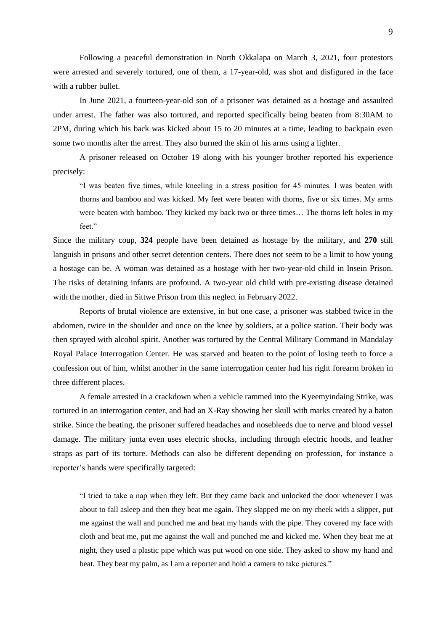Following a peaceful demonstration in North Okkalapa on March 3, 2021, four protestors were arrested and severely tortured, one of them, a 17-year-old, was shot and disfigured in the face with a rubber bullet.

In June 2021, a fourteen-year-old son of a prisoner was detained as a hostage and assaulted under arrest. The father was also tortured, and reported specifically being beaten from 8:30AM to 2PM, during which his back was kicked about 15 to 20 minutes at a time, leading to backpain even some two months after the arrest. They also burned the skin of his arms using a lighter.

A prisoner released on October 19 along with his younger brother reported his experience precisely:

"I was beaten five times, while kneeling in a stress position for 45 minutes. I was beaten with thorns and bamboo and was kicked. My feet were beaten with thorns, five or six times. My arms were beaten with bamboo. They kicked my back two or three times… The thorns left holes in my feet."

Since the military coup, **324** people have been detained as hostage by the military, and **270** still languish in prisons and other secret detention centers. There does not seem to be a limit to how young a hostage can be. A woman was detained as a hostage with her two-year-old child in Insein Prison. The risks of detaining infants are profound. A two-year old child with pre-existing disease detained with the mother, died in Sittwe Prison from this neglect in February 2022.

Reports of brutal violence are extensive, in but one case, a prisoner was stabbed twice in the abdomen, twice in the shoulder and once on the knee by soldiers, at a police station. Their body was then sprayed with alcohol spirit. Another was tortured by the Central Military Command in Mandalay Royal Palace Interrogation Center. He was starved and beaten to the point of losing teeth to force a confession out of him, whilst another in the same interrogation center had his right forearm broken in three different places.

A female arrested in a crackdown when a vehicle rammed into the Kyeemyindaing Strike, was tortured in an interrogation center, and had an X-Ray showing her skull with marks created by a baton strike. Since the beating, the prisoner suffered headaches and nosebleeds due to nerve and blood vessel damage. The military junta even uses electric shocks, including through electric hoods, and leather straps as part of its torture. Methods can also be different depending on profession, for instance a reporter's hands were specifically targeted:

"I tried to take a nap when they left. But they came back and unlocked the door whenever I was about to fall asleep and then they beat me again. They slapped me on my cheek with a slipper, put me against the wall and punched me and beat my hands with the pipe. They covered my face with cloth and beat me, put me against the wall and punched me and kicked me. When they beat me at night, they used a plastic pipe which was put wood on one side. They asked to show my hand and beat. They beat my palm, as I am a reporter and hold a camera to take pictures."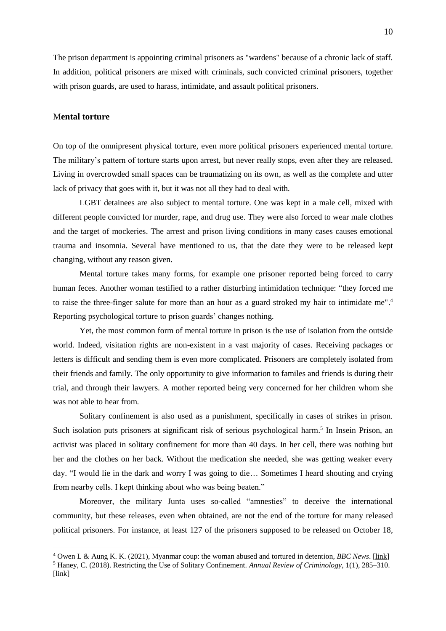The prison department is appointing criminal prisoners as "wardens" because of a chronic lack of staff. In addition, political prisoners are mixed with criminals, such convicted criminal prisoners, together with prison guards, are used to harass, intimidate, and assault political prisoners.

### <span id="page-9-0"></span>M**ental torture**

 $\overline{a}$ 

On top of the omnipresent physical torture, even more political prisoners experienced mental torture. The military's pattern of torture starts upon arrest, but never really stops, even after they are released. Living in overcrowded small spaces can be traumatizing on its own, as well as the complete and utter lack of privacy that goes with it, but it was not all they had to deal with*.* 

LGBT detainees are also subject to mental torture. One was kept in a male cell, mixed with different people convicted for murder, rape, and drug use. They were also forced to wear male clothes and the target of mockeries. The arrest and prison living conditions in many cases causes emotional trauma and insomnia. Several have mentioned to us, that the date they were to be released kept changing, without any reason given.

Mental torture takes many forms, for example one prisoner reported being forced to carry human feces. Another woman testified to a rather disturbing intimidation technique: "they forced me to raise the three-finger salute for more than an hour as a guard stroked my hair to intimidate me".<sup>4</sup> Reporting psychological torture to prison guards' changes nothing.

Yet, the most common form of mental torture in prison is the use of isolation from the outside world. Indeed, visitation rights are non-existent in a vast majority of cases. Receiving packages or letters is difficult and sending them is even more complicated. Prisoners are completely isolated from their friends and family. The only opportunity to give information to familes and friends is during their trial, and through their lawyers. A mother reported being very concerned for her children whom she was not able to hear from.

Solitary confinement is also used as a punishment, specifically in cases of strikes in prison. Such isolation puts prisoners at significant risk of serious psychological harm.<sup>5</sup> In Insein Prison, an activist was placed in solitary confinement for more than 40 days. In her cell, there was nothing but her and the clothes on her back. Without the medication she needed, she was getting weaker every day. "I would lie in the dark and worry I was going to die… Sometimes I heard shouting and crying from nearby cells. I kept thinking about who was being beaten."

Moreover, the military Junta uses so-called "amnesties" to deceive the international community, but these releases, even when obtained, are not the end of the torture for many released political prisoners. For instance, at least 127 of the prisoners supposed to be released on October 18,

<sup>4</sup> Owen L & Aung K. K. (2021), Myanmar coup: the woman abused and tortured in detention*, BBC News*. [\[link\]](https://www.bbc.com/news/world-asia-59462503) <sup>5</sup> Haney, C. (2018). Restricting the Use of Solitary Confinement. *Annual Review of Criminology*, 1(1), 285–310. [\[link\]](https://doi.org/10.1146/annurev-criminol-032317-092326)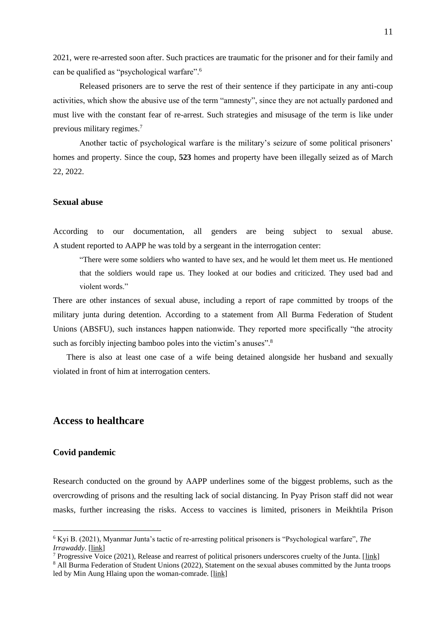2021, were re-arrested soon after. Such practices are traumatic for the prisoner and for their family and can be qualified as "psychological warfare".<sup>6</sup>

Released prisoners are to serve the rest of their sentence if they participate in any anti-coup activities, which show the abusive use of the term "amnesty", since they are not actually pardoned and must live with the constant fear of re-arrest. Such strategies and misusage of the term is like under previous military regimes.<sup>7</sup>

Another tactic of psychological warfare is the military's seizure of some political prisoners' homes and property. Since the coup, **523** homes and property have been illegally seized as of March 22, 2022.

## <span id="page-10-0"></span>**Sexual abuse**

According to our documentation, all genders are being subject to sexual abuse. A student reported to AAPP he was told by a sergeant in the interrogation center:

"There were some soldiers who wanted to have sex, and he would let them meet us. He mentioned that the soldiers would rape us. They looked at our bodies and criticized. They used bad and violent words."

There are other instances of sexual abuse, including a report of rape committed by troops of the military junta during detention. According to a statement from All Burma Federation of Student Unions (ABSFU), such instances happen nationwide. They reported more specifically "the atrocity such as forcibly injecting bamboo poles into the victim's anuses".<sup>8</sup>

There is also at least one case of a wife being detained alongside her husband and sexually violated in front of him at interrogation centers.

# <span id="page-10-1"></span>**Access to healthcare**

#### <span id="page-10-2"></span>**Covid pandemic**

 $\overline{a}$ 

Research conducted on the ground by AAPP underlines some of the biggest problems, such as the overcrowding of prisons and the resulting lack of social distancing. In Pyay Prison staff did not wear masks, further increasing the risks. Access to vaccines is limited, prisoners in Meikhtila Prison

<sup>8</sup> All Burma Federation of Student Unions (2022), Statement on the sexual abuses committed by the Junta troops led by Min Aung Hlaing upon the woman-comrade. [\[link\]](https://progressivevoicemyanmar.org/2022/02/19/statement-on-the-sexual-abuses-committed-by-the-junta-troops-led-by-min-aung-hlaing-upon-the-woman-comrades/)

<sup>6</sup> Kyi B. (2021), Myanmar Junta's tactic of re-arresting political prisoners is "Psychological warfare", *The Irrawaddy*. [\[link\]](https://www.irrawaddy.com/news/burma/farmers-fear-myanmar-junta-will-confiscate-their-land.html)

<sup>&</sup>lt;sup>7</sup> Progressive Voice (2021), Release and rearrest of political prisoners underscores cruelty of the Junta. [\[link\]](https://progressivevoicemyanmar.org/2021/10/29/release-and-rearrest-of-political-prisoners-underscores-cruelty-of-the-junta/)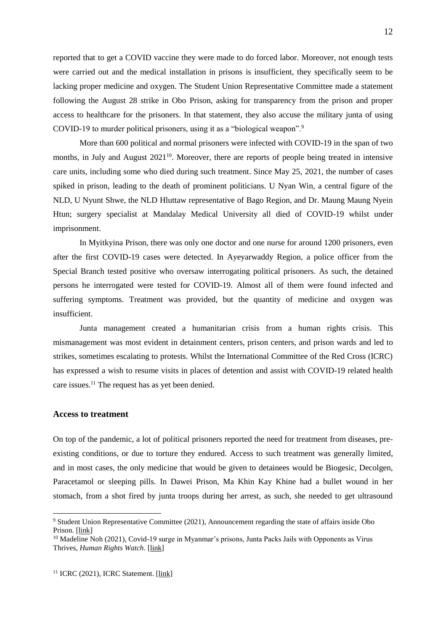reported that to get a COVID vaccine they were made to do forced labor. Moreover, not enough tests were carried out and the medical installation in prisons is insufficient, they specifically seem to be lacking proper medicine and oxygen. The Student Union Representative Committee made a statement following the August 28 strike in Obo Prison, asking for transparency from the prison and proper access to healthcare for the prisoners. In that statement, they also accuse the military junta of using COVID-19 to murder political prisoners, using it as a "biological weapon".<sup>9</sup>

More than 600 political and normal prisoners were infected with COVID-19 in the span of two months, in July and August  $2021^{10}$ . Moreover, there are reports of people being treated in intensive care units, including some who died during such treatment. Since May 25, 2021, the number of cases spiked in prison, leading to the death of prominent politicians. U Nyan Win, a central figure of the NLD, U Nyunt Shwe, the NLD Hluttaw representative of Bago Region, and Dr. Maung Maung Nyein Htun; surgery specialist at Mandalay Medical University all died of COVID-19 whilst under imprisonment.

In Myitkyina Prison, there was only one doctor and one nurse for around 1200 prisoners, even after the first COVID-19 cases were detected. In Ayeyarwaddy Region, a police officer from the Special Branch tested positive who oversaw interrogating political prisoners. As such, the detained persons he interrogated were tested for COVID-19. Almost all of them were found infected and suffering symptoms. Treatment was provided, but the quantity of medicine and oxygen was insufficient.

Junta management created a humanitarian crisis from a human rights crisis. This mismanagement was most evident in detainment centers, prison centers, and prison wards and led to strikes, sometimes escalating to protests. Whilst the International Committee of the Red Cross (ICRC) has expressed a wish to resume visits in places of detention and assist with COVID-19 related health care issues.<sup>11</sup> The request has as yet been denied.

#### <span id="page-11-0"></span>**Access to treatment**

 $\overline{a}$ 

On top of the pandemic, a lot of political prisoners reported the need for treatment from diseases, preexisting conditions, or due to torture they endured. Access to such treatment was generally limited, and in most cases, the only medicine that would be given to detainees would be Biogesic, Decolgen, Paracetamol or sleeping pills. In Dawei Prison, Ma Khin Kay Khine had a bullet wound in her stomach, from a shot fired by junta troops during her arrest, as such, she needed to get ultrasound

12

<sup>9</sup> Student Union Representative Committee (2021), Announcement regarding the state of affairs inside Obo Prison. [\[link\]](https://progressivevoicemyanmar.org/2021/09/10/announcement-regarding-the-state-of-affairs-inside-obo-prison-announcement-3-2021/)

<sup>&</sup>lt;sup>10</sup> Madeline Noh (2021), Covid-19 surge in Myanmar's prisons, Junta Packs Jails with Opponents as Virus Thrives, *Human Rights Watch*. [\[link\]](https://www.hrw.org/news/2021/08/16/covid-19-surge-myanmars-prisons)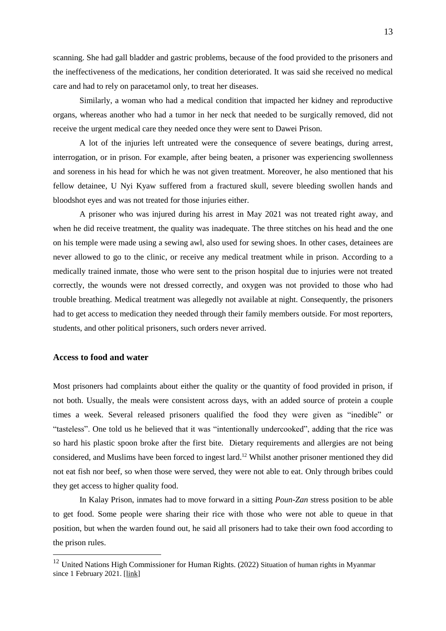scanning. She had gall bladder and gastric problems, because of the food provided to the prisoners and the ineffectiveness of the medications, her condition deteriorated. It was said she received no medical care and had to rely on paracetamol only, to treat her diseases.

Similarly, a woman who had a medical condition that impacted her kidney and reproductive organs, whereas another who had a tumor in her neck that needed to be surgically removed, did not receive the urgent medical care they needed once they were sent to Dawei Prison.

A lot of the injuries left untreated were the consequence of severe beatings, during arrest, interrogation, or in prison. For example, after being beaten, a prisoner was experiencing swollenness and soreness in his head for which he was not given treatment. Moreover, he also mentioned that his fellow detainee, U Nyi Kyaw suffered from a fractured skull, severe bleeding swollen hands and bloodshot eyes and was not treated for those injuries either.

A prisoner who was injured during his arrest in May 2021 was not treated right away, and when he did receive treatment, the quality was inadequate. The three stitches on his head and the one on his temple were made using a sewing awl, also used for sewing shoes. In other cases, detainees are never allowed to go to the clinic, or receive any medical treatment while in prison. According to a medically trained inmate, those who were sent to the prison hospital due to injuries were not treated correctly, the wounds were not dressed correctly, and oxygen was not provided to those who had trouble breathing. Medical treatment was allegedly not available at night. Consequently, the prisoners had to get access to medication they needed through their family members outside. For most reporters, students, and other political prisoners, such orders never arrived.

## **Access to food and water**

 $\overline{a}$ 

Most prisoners had complaints about either the quality or the quantity of food provided in prison, if not both. Usually, the meals were consistent across days, with an added source of protein a couple times a week. Several released prisoners qualified the food they were given as "inedible" or "tasteless". One told us he believed that it was "intentionally undercooked", adding that the rice was so hard his plastic spoon broke after the first bite. Dietary requirements and allergies are not being considered, and Muslims have been forced to ingest lard. <sup>12</sup> Whilst another prisoner mentioned they did not eat fish nor beef, so when those were served, they were not able to eat. Only through bribes could they get access to higher quality food.

In Kalay Prison, inmates had to move forward in a sitting *Poun-Zan* stress position to be able to get food. Some people were sharing their rice with those who were not able to queue in that position, but when the warden found out, he said all prisoners had to take their own food according to the prison rules.

<sup>&</sup>lt;sup>12</sup> United Nations High Commissioner for Human Rights. (2022) Situation of human rights in Myanmar since 1 February 2021. [\[link\]](https://www.ohchr.org/en/press-releases/2022/03/myanmar-un-report-urges-immediate-concerted-effort-international-community?LangID=E&NewsID=28283)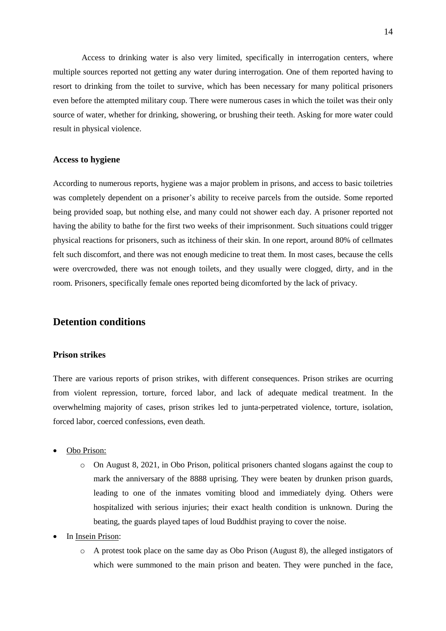Access to drinking water is also very limited, specifically in interrogation centers, where multiple sources reported not getting any water during interrogation. One of them reported having to resort to drinking from the toilet to survive, which has been necessary for many political prisoners even before the attempted military coup. There were numerous cases in which the toilet was their only source of water, whether for drinking, showering, or brushing their teeth. Asking for more water could result in physical violence.

## <span id="page-13-0"></span>**Access to hygiene**

According to numerous reports, hygiene was a major problem in prisons, and access to basic toiletries was completely dependent on a prisoner's ability to receive parcels from the outside. Some reported being provided soap, but nothing else, and many could not shower each day. A prisoner reported not having the ability to bathe for the first two weeks of their imprisonment. Such situations could trigger physical reactions for prisoners, such as itchiness of their skin. In one report, around 80% of cellmates felt such discomfort, and there was not enough medicine to treat them. In most cases, because the cells were overcrowded, there was not enough toilets, and they usually were clogged, dirty, and in the room. Prisoners, specifically female ones reported being dicomforted by the lack of privacy.

# <span id="page-13-1"></span>**Detention conditions**

### <span id="page-13-2"></span>**Prison strikes**

There are various reports of prison strikes, with different consequences. Prison strikes are ocurring from violent repression, torture, forced labor, and lack of adequate medical treatment. In the overwhelming majority of cases, prison strikes led to junta-perpetrated violence, torture, isolation, forced labor, coerced confessions, even death.

- Obo Prison:
	- o On August 8, 2021, in Obo Prison, political prisoners chanted slogans against the coup to mark the anniversary of the 8888 uprising. They were beaten by drunken prison guards, leading to one of the inmates vomiting blood and immediately dying. Others were hospitalized with serious injuries; their exact health condition is unknown. During the beating, the guards played tapes of loud Buddhist praying to cover the noise.
- In Insein Prison:
	- o A protest took place on the same day as Obo Prison (August 8), the alleged instigators of which were summoned to the main prison and beaten. They were punched in the face,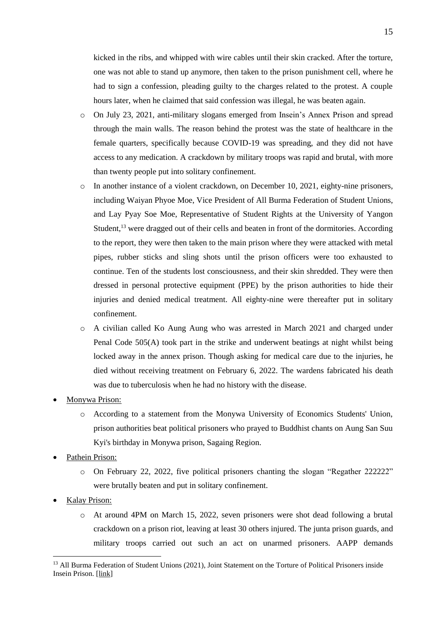kicked in the ribs, and whipped with wire cables until their skin cracked. After the torture, one was not able to stand up anymore, then taken to the prison punishment cell, where he had to sign a confession, pleading guilty to the charges related to the protest. A couple hours later, when he claimed that said confession was illegal, he was beaten again.

- o On July 23, 2021, anti-military slogans emerged from Insein's Annex Prison and spread through the main walls. The reason behind the protest was the state of healthcare in the female quarters, specifically because COVID-19 was spreading, and they did not have access to any medication. A crackdown by military troops was rapid and brutal, with more than twenty people put into solitary confinement.
- o In another instance of a violent crackdown, on December 10, 2021, eighty-nine prisoners, including Waiyan Phyoe Moe, Vice President of All Burma Federation of Student Unions, and Lay Pyay Soe Moe, Representative of Student Rights at the University of Yangon Student,<sup>13</sup> were dragged out of their cells and beaten in front of the dormitories. According to the report, they were then taken to the main prison where they were attacked with metal pipes, rubber sticks and sling shots until the prison officers were too exhausted to continue. Ten of the students lost consciousness, and their skin shredded. They were then dressed in personal protective equipment (PPE) by the prison authorities to hide their injuries and denied medical treatment. All eighty-nine were thereafter put in solitary confinement.
- o A civilian called Ko Aung Aung who was arrested in March 2021 and charged under Penal Code 505(A) took part in the strike and underwent beatings at night whilst being locked away in the annex prison. Though asking for medical care due to the injuries, he died without receiving treatment on February 6, 2022. The wardens fabricated his death was due to tuberculosis when he had no history with the disease.
- Monywa Prison:
	- o According to a statement from the Monywa University of Economics Students' Union, prison authorities beat political prisoners who prayed to Buddhist chants on Aung San Suu Kyi's birthday in Monywa prison, Sagaing Region.
- Pathein Prison:
	- o On February 22, 2022, five political prisoners chanting the slogan "Regather 222222" were brutally beaten and put in solitary confinement.
- Kalay Prison:

 $\overline{a}$ 

o At around 4PM on March 15, 2022, seven prisoners were shot dead following a brutal crackdown on a prison riot, leaving at least 30 others injured. The junta prison guards, and military troops carried out such an act on unarmed prisoners. AAPP demands

<sup>&</sup>lt;sup>13</sup> All Burma Federation of Student Unions (2021), Joint Statement on the Torture of Political Prisoners inside Insein Prison. [\[link\]](https://www.burmalibrary.org/sites/burmalibrary.org/files/obl/2021-12-13-Joint-Statement-on-the-Torture-of-Political-Prisoners-inside-Insein-Prison-tu-en.pdf?__cf_chl_tk=TtRY9gouzrDKtbJAIOsvsuxmO7u6fSCLLFjUxcyUD_8-1647316211-0-gaNycGzNCpE)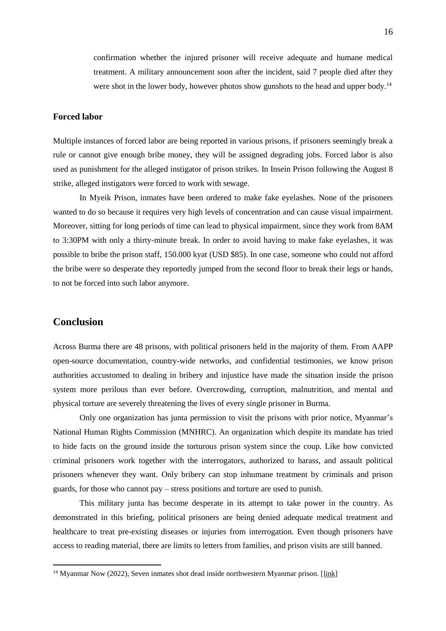confirmation whether the injured prisoner will receive adequate and humane medical treatment. A military announcement soon after the incident, said 7 people died after they were shot in the lower body, however photos show gunshots to the head and upper body.<sup>14</sup>

## <span id="page-15-0"></span>**Forced labor**

Multiple instances of forced labor are being reported in various prisons, if prisoners seemingly break a rule or cannot give enough bribe money, they will be assigned degrading jobs. Forced labor is also used as punishment for the alleged instigator of prison strikes. In Insein Prison following the August 8 strike, alleged instigators were forced to work with sewage.

In Myeik Prison, inmates have been ordered to make fake eyelashes. None of the prisoners wanted to do so because it requires very high levels of concentration and can cause visual impairment. Moreover, sitting for long periods of time can lead to physical impairment, since they work from 8AM to 3:30PM with only a thirty-minute break. In order to avoid having to make fake eyelashes, it was possible to bribe the prison staff, 150.000 kyat (USD \$85). In one case, someone who could not afford the bribe were so desperate they reportedly jumped from the second floor to break their legs or hands, to not be forced into such labor anymore.

# <span id="page-15-1"></span>**Conclusion**

 $\overline{a}$ 

Across Burma there are 48 prisons, with political prisoners held in the majority of them. From AAPP open-source documentation, country-wide networks, and confidential testimonies, we know prison authorities accustomed to dealing in bribery and injustice have made the situation inside the prison system more perilous than ever before. Overcrowding, corruption, malnutrition, and mental and physical torture are severely threatening the lives of every single prisoner in Burma.

Only one organization has junta permission to visit the prisons with prior notice, Myanmar's National Human Rights Commission (MNHRC). An organization which despite its mandate has tried to hide facts on the ground inside the torturous prison system since the coup. Like how convicted criminal prisoners work together with the interrogators, authorized to harass, and assault political prisoners whenever they want. Only bribery can stop inhumane treatment by criminals and prison guards, for those who cannot pay – stress positions and torture are used to punish.

This military junta has become desperate in its attempt to take power in the country. As demonstrated in this briefing, political prisoners are being denied adequate medical treatment and healthcare to treat pre-existing diseases or injuries from interrogation. Even though prisoners have access to reading material, there are limits to letters from families, and prison visits are still banned.

 $14$  Myanmar Now (2022), Seven inmates shot dead inside northwestern Myanmar prison. [\[link\]](https://www.myanmar-now.org/en/news/seven-inmates-shot-dead-inside-northwestern-myanmar-prison)